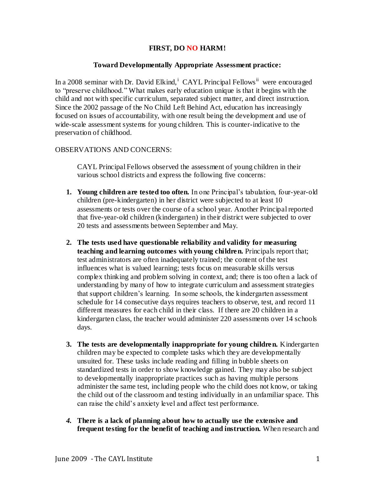## **FIRST, DO NO HARM!**

## **Toward Developmentally Appropriate Assessment practice:**

In a 2008 seminar with Dr. David Elkind,<sup>i</sup> CAYL Principal Fellows<sup>ii</sup> were encouraged to "preserve childhood." What makes early education unique is that it begins with the child and not with specific curriculum, separated subject matter, and direct instruction. Since the 2002 passage of the No Child Left Behind Act, education has increasingly focused on issues of accountability, with one result being the development and use of wide-scale assessment systems for young children. This is counter-indicative to the preservation of childhood.

# OBSERVATIONS AND CONCERNS:

CAYL Principal Fellows observed the assessment of young children in their various school districts and express the following five concerns:

- **1. Young children are tested too often.** In one Principal's tabulation, four-year-old children (pre-kindergarten) in her district were subjected to at least 10 assessments or tests over the course of a school year. Another Principal reported that five-year-old children (kindergarten) in their district were subjected to over 20 tests and assessments between September and May.
- **2. The tests used have questionable reliability and validity for measuring teaching and learning outcomes with young children.** Principals report that; test administrators are often inadequately trained; the content of the test influences what is valued learning; tests focus on measurable skills versus complex thinking and problem solving in context, and; there is too often a lack of understanding by many of how to integrate curriculum and assessment strategies that support children's learning. In some schools, the kindergarten assessment schedule for 14 consecutive days requires teachers to observe, test, and record 11 different measures for each child in their class. If there are 20 children in a kindergarten class, the teacher would administer 220 assessments over 14 schools days.
- **3. The tests are developmentally inappropriate for young children.** Kindergarten children may be expected to complete tasks which they are developmentally unsuited for. These tasks include reading and filling in bubble sheets on standardized tests in order to show knowledge gained. They may also be subject to developmentally inappropriate practices such as having multiple persons administer the same test, including people who the child does not know, or taking the child out of the classroom and testing individually in an unfamiliar space. This can raise the child's anxiety level and affect test performance.
- *4.* **There is a lack of planning about how to actually use the extensive and frequent testing for the benefit of teaching and instruction.** When research and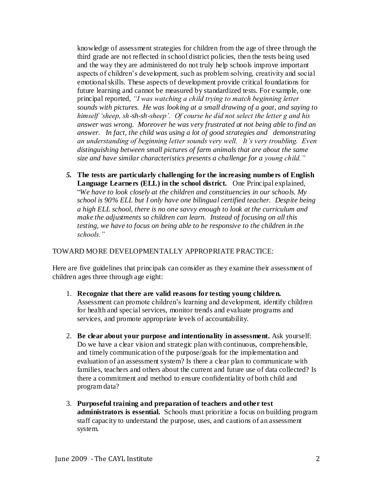knowledge of assessment strategies for children from the age of three through the third grade are not reflected in school district policies, then the tests being used and the way they are administered do not truly help schools improve important aspects of children's development, such as problem solving, creativity and social emotional skills. These aspects of development provide critical foundations for future learning and cannot be measured by standardized tests. For example, one principal reported, *"I was watching a child trying to match beginning letter sounds with pictures. He was looking at a small drawing of a goat, and saying to himself "sheep, sh-sh-sh-sheep". Of course he did not select the letter g and his answer was wrong. Moreover he was very frustrated at not being able to find an answer. In fact, the child was using a lot of good strategies and demonstrating an understanding of beginning letter sounds very well. It"s very troubling. Even distinguishing between small pictures of farm animals that are about the same size and have similar characteristics presents a challenge for a young child."*

*5.* **The tests are particularly challenging for the increasing numbers of English Language Learners (ELL) in the school district.** One Principal explained, "*We have to look closely at the children and constituencies in our schools. My school is 90% ELL but I only have one bilingual certified teacher. Despite being a high ELL school, there is no one savvy enough to look at the curriculum and make the adjustments so children can learn. Instead of focusing on all this testing, we have to focus on being able to be responsive to the children in the schools."* 

## TOWARD MORE DEVELOPMENTALLY APPROPRIATE PRACTICE:

Here are five guidelines that principals can consider as they examine their assessment of children ages three through age eight:

- 1. **Recognize that there are valid reasons for testing young children.** Assessment can promote children's learning and development, identify children for health and special services, monitor trends and evaluate programs and services, and promote appropriate levels of accountability.
- 2. **Be clear about your purpose and intentionality in assessment.** Ask yourself: Do we have a clear vision and strategic plan with continuous, comprehensible, and timely communication of the purpose/goals for the implementation and evaluation of an assessment system? Is there a clear plan to communicate with families, teachers and others about the current and future use of data collected? Is there a commitment and method to ensure confidentiality of both child and program data?
- 3. **Purposeful training and preparation of teachers and other test administrators is essential.** Schools must prioritize a focus on building program staff capacity to understand the purpose, uses, and cautions of an assessment system.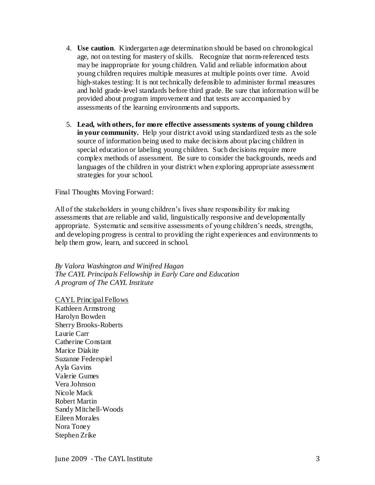- 4. **Use caution**. Kindergarten age determination should be based on chronological age, not on testing for mastery of skills. Recognize that norm-referenced tests may be inappropriate for young children. Valid and reliable information about young children requires multiple measures at multiple points over time. Avoid high-stakes testing: It is not technically defensible to administer formal measures and hold grade-level standards before third grade. Be sure that information will be provided about program improvement and that tests are accompanied by assessments of the learning environments and supports.
- 5. **Lead, with others, for more effective assessments systems of young children in your community.** Help your district avoid using standardized tests as the sole source of information being used to make decisions about placing children in special education or labeling young children. Such decisions require more complex methods of assessment. Be sure to consider the backgrounds, needs and languages of the children in your district when exploring appropriate assessment strategies for your school.

Final Thoughts Moving Forward:

All of the stakeholders in young children's lives share responsibility for making assessments that are reliable and valid, linguistically responsive and developmentally appropriate. Systematic and sensitive assessments of young children's needs, strengths, and developing progress is central to providing the right experiences and environments to help them grow, learn, and succeed in school.

*By Valora Washington and Winifred Hagan The CAYL Principals Fellowship in Early Care and Education A program of The CAYL Institute*

CAYL Principal Fellows Kathleen Armstrong Harolyn Bowden Sherry Brooks-Roberts Laurie Carr Catherine Constant Marice Diakite Suzanne Federspiel Ayla Gavins Valerie Gumes Vera Johnson Nicole Mack Robert Martin Sandy Mitchell-Woods Eileen Morales Nora Toney Stephen Zrike